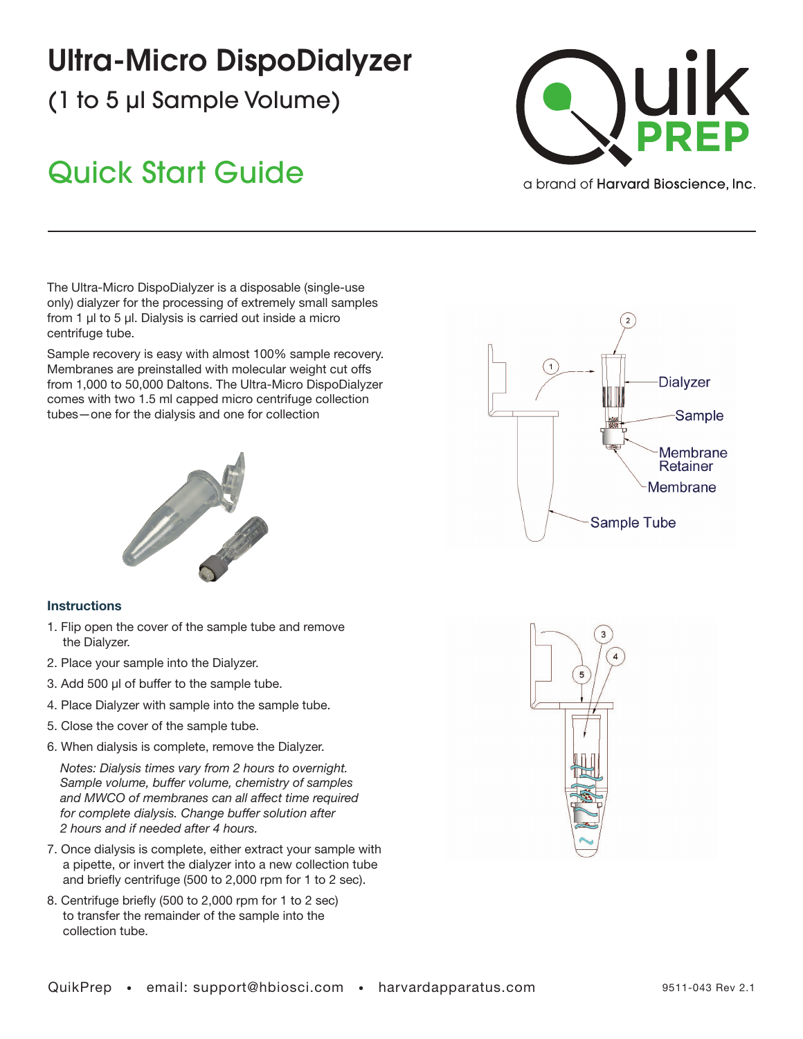## Ultra-Micro DispoDialyzer

(1 to 5 µl Sample Volume)

## Quick Start Guide



a brand of **Harvard Bioscience**, Inc.

The Ultra-Micro DispoDialyzer is a disposable (single-use only) dialyzer for the processing of extremely small samples from 1 µl to 5 µl. Dialysis is carried out inside a micro centrifuge tube.

Sample recovery is easy with almost 100% sample recovery. Membranes are preinstalled with molecular weight cut offs from 1,000 to 50,000 Daltons. The Ultra-Micro DispoDialyzer comes with two 1.5 ml capped micro centrifuge collection tubes—one for the dialysis and one for collection



## **Instructions**

- 1. Flip open the cover of the sample tube and remove the Dialyzer.
- 2. Place your sample into the Dialyzer.
- 3. Add 500 µl of buffer to the sample tube.
- 4. Place Dialyzer with sample into the sample tube.
- 5. Close the cover of the sample tube.
- 6. When dialysis is complete, remove the Dialyzer.

*Notes: Dialysis times vary from 2 hours to overnight. Sample volume, buffer volume, chemistry of samples and MWCO of membranes can all affect time required for complete dialysis. Change buffer solution after 2 hours and if needed after 4 hours.*

- 7. Once dialysis is complete, either extract your sample with a pipette, or invert the dialyzer into a new collection tube and briefly centrifuge (500 to 2,000 rpm for 1 to 2 sec).
- 8. Centrifuge briefly (500 to 2,000 rpm for 1 to 2 sec) to transfer the remainder of the sample into the collection tube.